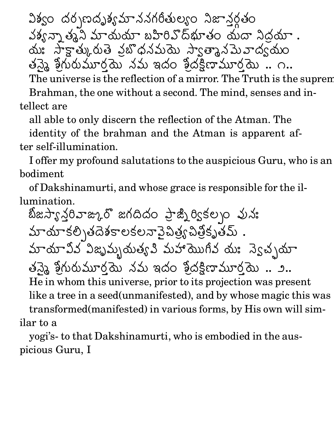ఎశ్వం దర్శణదృశ్యమాననగరీతుల్యం నిజానరతం ./వశ్వన్నా తృని మాయయా బహిరివొద్భూతం యదా నిదయా . మః సాక్షాత్కురుతె వైబొధనమయె స్వాతా  $\mathcal{N}$  and  $\mathcal{N}$  and  $\mathcal{N}$  and  $\mathcal{N}$  and  $\mathcal{N}$  and  $\mathcal{N}$  and  $\mathcal{N}$  and  $\mathcal{N}$  and  $\mathcal{N}$  and  $\mathcal{N}$  and  $\mathcal{N}$  and  $\mathcal{N}$  and  $\mathcal{N}$  and  $\mathcal{N}$  and  $\mathcal{N}$  and  $\mathcal{N}$  and  $\mathcal{N}$  and తన్కై శ్రీగురుమూర్త్రద # #`E ,యె నమ ఇదం శిదక్షిణామూరమె .. ౧.. ,

The universe is the reflection of a mirror. The Truth is the suprem

Brahman, the one without a second. The mind, senses and intellect are

all able to only discern the reflection of the Atman. The

identity of the brahman and the Atman is apparent after self-illumination.

I offer my profound salutations to the auspicious Guru, who is an bodiment

of Dakshinamurti, and whose grace is responsible for the illumination.

నజస్వరివాజ్కుర్ జ  $\alpha$  is a factor of the following the following  $\alpha$  is a factor of the following  $\alpha$ ప్జృి ర్వికల్పం పునః మాయాకలి తదేశకాలకలనానైపిత్ర్య పిత్రీకృతమ్  $\mathcal{S}$ బీతోకృతమ్ . :8J1 z^!Z -)'7 {89 .| 0<sup>&</sup>gt; }RX8#%~!Z 8J <sup>L</sup> RvY 8J: <sup>V</sup> తన్నై శ్రీగురుమూర్త్రద # #`E ,యె నమ ఇదం శిదక్షిణామూరమె .. ౨.. ,He in whom this universe, prior to its projection was present like a tree in a seed(unmanifested), and by whose magic this was transformed(manifested) in various forms, by His own will similar to a

yogi's- to that Dakshinamurti, who is embodied in the auspicious Guru, I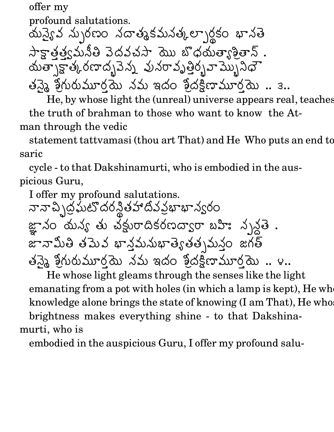offer my  $\,$  .  $\,$  .  $\,$  .  $\,$  .  $\,$  .  $\,$  .  $\,$  .  $\,$  .  $\,$  .  $\,$  .  $\,$  .  $\,$  .  $\,$  .  $\,$  .  $\,$  .  $\,$  .  $\,$  .  $\,$  .  $\,$  .  $\,$  .  $\,$  .  $\,$  .  $\,$  .  $\,$  .  $\,$  .  $\,$  .  $\,$  .  $\,$  .  $\,$  .  $\,$  .  $\,$  .  $\,$ profound salutations.  $\mathbf{r}$  and  $\mathbf{r}$  and  $\mathbf{r}$  and  $\mathbf{r}$  and  $\mathbf{r}$  and  $\mathbf{r}$  and  $\mathbf{r}$  and  $\mathbf{r}$  and  $\mathbf{r}$  and  $\mathbf{r}$  and  $\mathbf{r}$  and  $\mathbf{r}$  and  $\mathbf{r}$  and  $\mathbf{r}$  and  $\mathbf{r}$  and  $\mathbf{r}$  and  $\mathbf{r}$  and సాకాత్త్వమనీతి వెడ 7 Vx RZ ZM RX8# బొధయత్యాశీతాన్ . యత్సాక్టాత్కరణాదృవైన్న పునరావృత్తిర్చవామ్నిని  ${\mathcal{L}}$  and  ${\mathcal{L}}$  ratios in the set of  ${\mathcal{L}}$  ratios in the set of  ${\mathcal{L}}$  ratios in the set of  ${\mathcal{L}}$ United States and Constitution of the Constitution of the Constitution of the Constitution of the Constitution తన్నై శ్రీగురుమూర్త్రద # #`E ,యె నమ ఇదం శిదక్షిణామూరమె .. ౩.. ,

He, by whose light the (unreal) universe appears real, teaches the truth of brahman to those who want to know the Atman through the vedic

statement tattvamasi (thou art That) and He Who puts an end to saric

cycle - to that Dakshinamurti, who is embodied in the auspicious Guru,

I offer my profound salutations. నా నా చి \ద్రఘట్లో దరన్దీత హాదీవ ప్రభా V> - తహాదివవభాభాన్వరం )F\* నం దున్య తు చక్రురాదికరణద్వారా బహిః నృనతె . జానామితి తమెవ భానమనుభాత్వతతృమనం జగత్ తన్కై శ్రీగురుమూర్త్రద # #`E ,యె నమ ఇదం శిదక్షిణామూరమె .. ౪.. ,

He whose light gleams through the senses like the light emanating from a pot with holes (in which a lamp is kept), He whose knowledge alone brings the state of knowing  $(I \text{ am That})$ , He who brightness makes everything shine - to that Dakshinamurti, who is

embodied in the auspicious Guru, I offer my profound salu-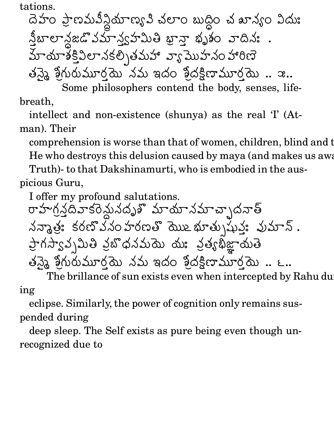tations.

r et als and the contract of the contract of the contract of the contract of the contract of the contract of th ప్రాణమవిస్థియాణ్యవి చలాం బుద్ధిం చ ఖాన్యం విదుః  $\overline{\phantom{a}}$ బాలాన్లజడొవమాన్త్వహమితి ఖా మాయాశ్కివిలానకల్పతమహా వ్యముహనం హారిణె < 1#x B\* ఖానా భృశం వాదినః . తన్నై శ్రీగురుమూర్త్రద # #`E ,యె నమ ఇదం శిదక్షిణామూరమె .. ఇ.. ,

Some philosophers contend the body, senses, lifebreath,

intellect and non-existence (shunya) as the real 'I' (Atman). Their

comprehension is worse than that of women, children, blind and the dull. He who destroys this delusion caused by maya (and makes us aware of the theory of the theory of the theory of the theory of the theory of the theory of the theory of the whole sum and the value of the whole sum and the who Truth)- to that Dakshinamurti, who is embodied in the aus-

picious Guru,

I offer my profound salutations.

రాహగనదివాకరెనునదృశ్మాయానమాచాృదనాత్ నన్మాత్రి: కరణ్వన  $L \cup \mathbb{R}$  ,  $L \cup \mathbb{R}$  ,  $L \cup \mathbb{R}$  ,  $L \cup \mathbb{R}$  ,  $L \cup \mathbb{R}$  ,  $L \cup \mathbb{R}$  ,  $L \cup \mathbb{R}$ 0, $\mathcal{A} \cup \mathcal{A} \cup \mathcal{A}$ . . . . . . . .  $\blacksquare$ గస్వావ్నమితి వైబొధనమయె యః ఫ ననమయె యః వత్యభిజాయతె $\;$ 8J Rతన్నై శ్రీగురుమూర్త్రదే # #`E ,యె నమ ఇదం శిదక్షిణామూరమె .. ౬.. ,

The brillance of sun exists even when intercepted by Rahu du ing

eclipse. Similarly, the power of cognition only remains suspended during

deep sleep. The Self exists as pure being even though unrecognized due to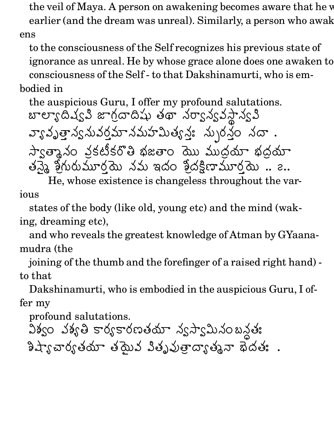the veil of Maya. A person on awakening becomes aware that he w earlier (and the dream was unreal). Similarly, a person who awakens

to the consciousness of the Self recognizes his previous state of ignorance as unreal. He by whose grace alone does one awaken to consciousness of the Self - to that Dakshinamurti, who is embodied in

the auspicious Guru, I offer my profound salutations. బాలా,ఁదిష్వి జాగదాదిషు తథా నర్వాన్వవసాన్వపి  $\sqrt{2}$  0  $\overline{3}$   $\overline{3}$   $\overline{3}$   $\overline{3}$   $\overline{3}$   $\overline{3}$   $\overline{3}$   $\overline{3}$   $\overline{3}$   $\overline{3}$   $\overline{3}$   $\overline{3}$   $\overline{3}$   $\overline{3}$   $\overline{3}$   $\overline{3}$   $\overline{3}$   $\overline{3}$   $\overline{3}$   $\overline{3}$   $\overline{3}$   $\overline{3}$   $\overline{3}$   $\overline{3}$   $\overline{$ త్రాన్యనువర్షమానమహమిత్యనః నుృరనం : *మృ*రనం నదా .  $\blacksquare$  and  $\blacksquare$  for  $\blacksquare$  for  $\blacksquare$  and  $\blacksquare$  . The set of  $\blacksquare$ 。<br>0 కటికరొతి భజతాం 'మొు ముదయా' భదయా తన్నై శ్రీగురుమూర్త్రద # #`E ,ద్దు నమ ఇదం శిదక్షిణామూరమె .. ౭.. ,

He, whose existence is changeless throughout the various

states of the body (like old, young etc) and the mind (waking, dreaming etc),

and who reveals the greatest knowledge of Atman by GYaanamudra (the

joining of the thumb and the forefinger of a raised right hand) to that

Dakshinamurti, who is embodied in the auspicious Guru, I offer my

profound salutations.

 $\alpha$   $\beta$  ,  $\alpha$  ,  $\beta$  ,  $\beta$  ,  $\alpha$  ,  $\beta$  ,  $\beta$  ,  $\beta$  ,  $\beta$  ,  $\beta$  ,  $\beta$  ,  $\beta$  ,  $\beta$  ,  $\beta$  ,  $\beta$  ,  $\beta$  ,  $\beta$  ,  $\beta$  ,  $\beta$  ,  $\beta$  ,  $\beta$  ,  $\beta$  ,  $\beta$  ,  $\beta$  ,  $\beta$  ,  $\beta$  ,  $\beta$  ,  $\beta$  ,  $\beta$  ,  $\beta$  ,  $\beta$  , ]D3 |3 .89: .RX8k\ Z 0> .P 0<sup>s</sup> အက္ခန့္ အထို .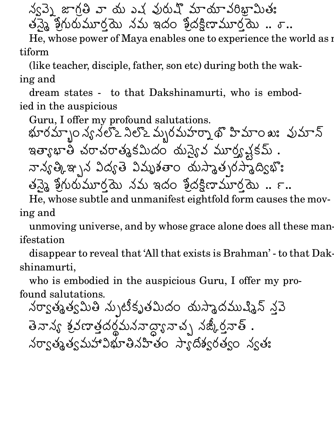న్వెన జాగతి వా దు ఎచ్చురుష్ మాయావరిభామితః  $w$  మితః $\;$ తన్నై శ్రీగురుమూర్త్రద # #`E ,యె నమ ఇదం శిదక్షిణామూరమె .. శ్.. ,

He, whose power of Maya enables one to experience the world as multiform

(like teacher, disciple, father, son etc) during both the waking and

dream states - to that Dakshinamurti, who is embodied in the auspicious

Guru, I offer my profound salutations.

BE :{ VW|W ( - < <sup>4</sup> bj <> 1 #L 0<sup>s</sup> :A <sup>x</sup> .6Yq1# / 8J RV\3Z <sup>E</sup>, qXA|3xOW H 23 R H` 89 M6Y . M67l-L .VR\Y6 ]\_^I# #`E , aC / ]\_^IN>:
b\*CE ,

He, whose subtle and unmanifest eightfold form causes the moving and

unmoving universe, and by whose grace alone does all these manifestation

disappear to reveal that 'All that exists is Brahman' - to that Dakshinamurti,

who is embodied in the auspicious Guru, I offer my profound salutations.

నర్వాత్మత్వమి నుృటికృతమిదం దుస్తాదముష్మిన్ నవె తెనాన్య శవణాతదరమననాడ - మననాదా,నాచ్ నజ్కీరనాత్ . VW 7 .6Y .7 }-BEx V<> .F MlPbQ .: VY . <sup>L</sup>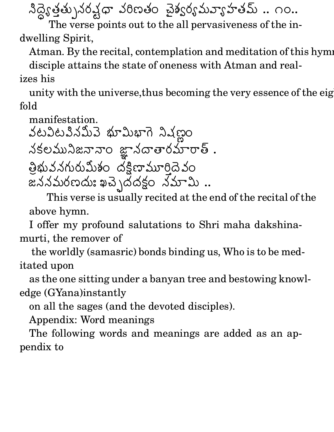నిద్యేతతు నరచధా వరిణ  $\Delta \varphi$  వరిణతం చెశ్వర్యమవ్యాహతమ్ .. ౧౦..

The verse points out to the all pervasiveness of the indwelling Spirit,

Atman. By the recital, contemplation and meditation of this hyming

disciple attains the state of oneness with Atman and realizes his

unity with the universe, thus becoming the very essence of the eightfold

manifestation.

ZW- 0>:V^# 0R BDE1#'B\*R (  $\blacksquare$  . The distribution of the set of the set of the set of the set of the set of the set of the set of the set of the set of the set of the set of the set of the set of the set of the set of the set of the set of the s  $\blacksquare$ . The contract of the contract of the contract of the contract of the contract of the contract of the contract of the contract of the contract of the contract of the contract of the contract of the contract of the c in a construction of the construction of the construction of the construction of the construction of the construction of the construction of the construction of the construction of the construction of the construction of t . . . . . . . . తీభువనగురుమీశం దక్షిణామూర్తిదేవం  $\blacksquare$  ) and the contract of the contract of the contract of the contract of the contract of the contract of the contract of the contract of the contract of the contract of the contract of the contract of the contract of

This verse is usually recited at the end of the recital of the above hymn.

I offer my profound salutations to Shri maha dakshinamurti, the remover of

the worldly (samasric) bonds binding us, Who is to be meditated upon

as the one sitting under a banyan tree and bestowing knowledge (GYana)instantly

on all the sages (and the devoted disciples).

Appendix: Word meanings

The following words and meanings are added as an appendix to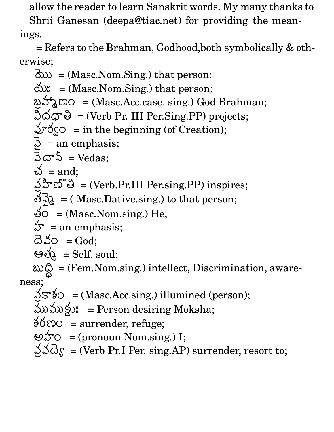allow the reader to learn Sanskrit words. My many thanks to

Shrii Ganesan (deepa@tiac.net) for providing the meanings.

= Refers to the Brahman, Godhood,both symbolically & otherwise;

 $\partial x = (Masc.Nom.Sing.)$  that person; = (Masc.Nom.Sing.) that person; ພັງ Sa Company = (Masc.Acc.case. sing.) God Brahman;  $\Im\varphi\cong\Im\varphi=\Im(\mathrm{Vert}\ \mathrm{Pr}. \mathrm{III}\ \mathrm{Per}. \mathrm{Sing}. \mathrm{PP})$  projects;  $\mathcal{D}\{\infty\}$  = in the beginning (of Creation);  $\mathfrak{Z}$  = an emphasis;<br> $\mathfrak{Z} \varpi \mathfrak{Z}$  = Vedas;  $\breve{\omega}$  = and;  $\mathcal{L}$ ပီးလီဖြဲ = (Verb.Pr.III Per.sing.PP) inspires;  $\Im \lambda_{\alpha} = 0$  ( Masc.Dative.sing.) to that person; రం = (Masc.Nom.sing.) He;  $\mathcal{L} =$  an emphasis; යි.ර =  $\mathrm{God};$ ఆత్మ  $=$  Self, soul;  $\omega \hat{\varphi}$  = (Fem.Nom.sing.) intellect, Discrimination, awareness;  $\searrow$ S (Masc.Acc.sing.) illumined (person); ముముక్లు: = Person desiring Moksha;

 $\delta$ රෆ $\circ$  = surrender, refuge;

- అహం  $=$  (pronoun Nom.sing.) I;
- 。  $\Delta \Delta \hat{\delta}$  = (Verb Pr.I Per. sing.AP) surrender, resort to;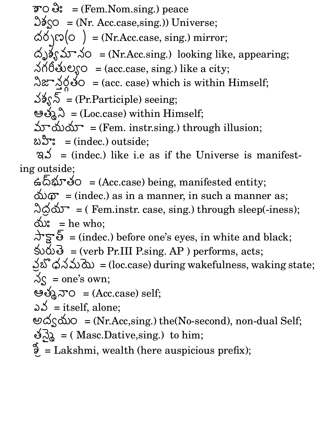$\overline{p}$ O  $\partial$ : = (Fem.Nom.sing.) peace  $\Im\delta_{\rm SO} =$  (Nr. Acc.case, sing.)) Universe;  $\Delta \delta \setminus \mathfrak{so}(\circ)$  = (Nr.Acc.case, sing.) mirror; ထိ္စ)ခ်ႏွသာာ $\lambda$ ဝ = (Nr.Acc.sing.) looking like, appearing;  $30^\circ$   $\sim$  5  $\sim$   $\sim$  (acc.case, sing.) like a city; నిజా నర్గళ్లం = (acc -  $\delta$ O = (acc. case) which is within Himself;  $\Im\$  = (Pr. Participle) seeing; ఆత్మని  $=$  (Loc.case) within Himself;  $\Delta \vec{v}$   $\Delta \vec{v}$  = (Fem. instr.sing.) through illusion; బ**ి**ూ: = (indec.) outside;  $\Im \mathcal{S}$  = (indec.) like i.e as if the Universe is manifest-

ing outside;

 $\bigoplus_{i=1}^n \mathfrak{S}^i$ လား $i \in \{ \text{Acc.} \text{case} \}$  being, manifested entity;  $\Delta \Omega$  = (indec.) as in a manner, in such a manner as;  $\partial \phi \Delta \nabla$  = (Fem.instr. case, sing.) through sleep(-iness); యి:  $=$  he who; M<sub>n</sub> Andrew Andrew Andrew Andrew Andrew Andrew Andrew Andrew Andrew Andrew Andrew Andrew Andrew Andrew Andrew Andrew Andrew Andrew Andrew Andrew Andrew Andrew Andrew Andrew Andrew Andrew Andrew Andrew Andrew Andrew Andrew  $\Delta$ ঁচু'ণ্ড = (indec.) before one's eyes, in white and black;  $\omega$  $\mathbf{\mathcal{S}}$  = (verb Pr.III P.sing. AP) performs, acts; న్లబొధనమయె $=$  (loc.o  $\beta$ నమయే = (loc.case) during wakefulness, waking state;  $\Im s$  = one's own; ఆత్మనా $O = (Acc.case)$  self; ລ $\mathcal{S}\,=\mathrm{itself}\mathrm{,}\,\mathrm{alone};$  $\Theta$ ර් $\zeta$ රා $\circ$  = (Nr.Acc,sing.) the(No-second), non-dual Self;  $\delta$ လ္တြဲ = ( Masc.Dative,sing.) to him;  $\mathcal{F}_{\mathcal{L}} =$  Lakshmi, wealth (here auspicious prefix);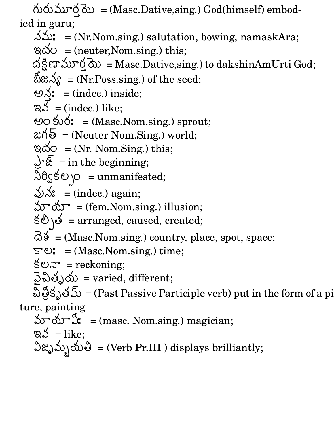# # <sup>E</sup>, $\partial x = (Masc.Dative,sing.)$  God(himself) embodied in guru; 

$$
\delta \omega
$$
: = (Nr.Nom.sing.) solution, bowing, namaskAra;

$$
\text{QQ} = \text{(neuter,Nom.sing.) this};
$$

ta terminal di secondo di secondo di secondo di secondo di secondo di secondo di secondo di secondo di secondo ,range and the state of the state of the state of the state of the state of the state of the state of the state  $\Delta \frac{8}{5}$ ణామూర్త దు = Masc.Dative, $\sin$ g.) to dakshinAmUrti God;

$$
\delta \approx \delta
$$
 = (Nr.Poss.sing.) of the seed;

$$
\mathfrak{S}_{\mathfrak{S}}^{\mathfrak{e}} = (\text{index.}) \text{ inside};
$$

$$
\mathsf{a} \mathsf{b} = (\text{index.}) \text{ like};
$$

ta a series de la construcción de la construcción de la construcción de la construcción de la construcción de

 $\mathcal{L}$  -the state of the state of the state of the state of the state of the state of the state of the state of the state of the state of the state of the state of the state of the state of the state of the state of the

 $\mathcal{L}$  . The contract of the contract of the contract of the contract of the contract of the contract of the contract of the contract of the contract of the contract of the contract of the contract of the contract of th

aCF

 $\blacksquare$ 

 $\sim$  Andrew Matter and Andrew Matter and Andrew Matter and Andrew Matter and Andrew Matter and Andrew Matter and Andrew Matter and Andrew Matter and Andrew Matter and Andrew Matter and Andrew Matter and Andrew Matter and

aCF

:89:

qu-

 $\sim$ 

$$
\Theta
$$
O  $\text{SO}^*$  = (Masc.Nom.sing.) **sprout;**

$$
\mathfrak{A}\delta = (\text{Neuter Nom.Sing.})\text{ world};
$$

$$
\text{QQ} = (\text{Nr.} \text{Nom.Sing.}) \text{ this};
$$

$$
\frac{1}{2} \overline{\mathscr{E}} = \text{in the beginning};
$$

$$
\frac{30}{50}
$$
 = unmanifested;

$$
\sqrt[3]{}
$$
 = (indec.) again;

$$
\mathbf{\hat{w}}^{\mathbf{\hat{w}}} = (\mathbf{fem}.\mathbf{Nom}.\mathbf{sing.})\text{ illusion};
$$

$$
\Theta
$$
  $\Theta$  = arranged, caused, created;

$$
\vec{\lambda} \delta = (Masc.Nom.sing.)
$$
 country, place, spot, space;

$$
\mathbb{S}^{\bullet} \mathbb{C}^{\bullet} = (\text{Masc.Nom.sing.}) \text{ time};
$$

$$
\S \mathfrak{O} \mathfrak{D}^* = \text{reckoning};
$$

$$
\mathfrak{Z}\,\mathfrak{W}\,\mathfrak{W}\,=\text{varied, different};
$$

చిత్రవృతమ్ =(Pa కృతమ్ = (Past Passive Participle verb) put in the form of a pi

## ture, painting

 $\mathcal{L}$  . P78J . P78J . P78J . P78J . P78J . P78J . P78J . P78J . P78J . P78J . P78J . P78J . P78J . P78J . P78J . P78J . P78J . P78J . P78J . P78J . P78J . P78J . P78J . P78J . P78J . P78J . P78J . P78J . P78J . P78J .

మాయాహి = (masc. Nom.sing.) magician; 
$$
\varnothing
$$
  $\preceq$  = like;

విజృమ్పనుతి = (Verb Pr.III ) displays brilliantly;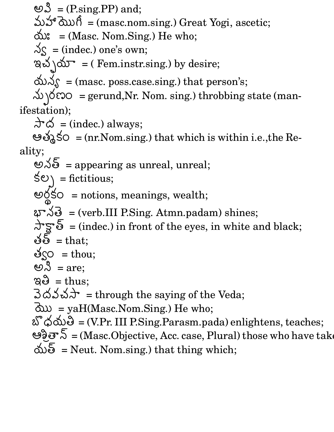ම $\mathcal{S} = (P\text{.sing.PP})$  and; మహా మొగీ = (masc.nom.sing.) Great Yogi, ascetic;  $\Delta s^* = (Masc. Nom.Sing.)$  He who;  $\sim$  = (indec.) one's own; ఇచ్చయా = ( Fem.instr.sing.) by desire;  $\Delta S =$  (masc. poss.case.sing.) that person's;  $\Delta$   $\Diamond$   $\Diamond$   $\circ$   $\circ$  = gerund, Nr. Nom. sing.) throbbing state (manifestation);  $\Delta$   $\breve{\circ}$  = (indec.) always;  $\circledast$ % $\circ$  = (nr. Nom.sing.) that which is within i.e., the Reality;  $\mathfrak{S}$  = appearing as unreal, unreal;  $\texttt{S}\circledcirc\texttt{S} = \text{fictitious};$  $\sim$   $\sqrt{1}$  $-$  -box  $-$  -box  $-$  -box  $-$  -box  $-$  -box  $-$  -box  $-$  -box  $-$  -box  $-$  -box  $\text{So }$  = notions, meanings, wealth;  $\Delta \mathbf{B} = (\text{verb.III} \ P.\text{Sing. Atmn.padam}) \ \text{shines};$  $\pi s = (index.)$  in front of the eyes, in white and black; తత్  $=$  that; ဗိ $\zeta$ ဝ = thou; ಲ $\mathcal{S}$  = are;

 $\mathbb{R}\mathbb{S}\;=\text{thus};$ 

 $\Im\,\Delta\,\Im\,\Im\,\Delta\,\rightarrow\ \pm\,\Lambda$  = through the saying of the Veda;

 $\partial x = \text{yaH(Masc.Nom.Sing.)}$  He who;

SUPERINTENT AND RESIDENCE AND RESIDENCE AND RESIDENCE AND RESIDENCE AND RESIDENCE AND RESIDENCE AND RESIDENCE  $\delta$ လ်ပါ = (V.Pr. III P.Sing.Parasm.pada) enlightens, teaches; ಅව්වෙ $\mathcal{S}$  = (Masc.Objective, Acc. case, Plural) those who have take  $\Delta\!\!\!\lambda$ త్ = Neut. Nom.sing.) that thing which;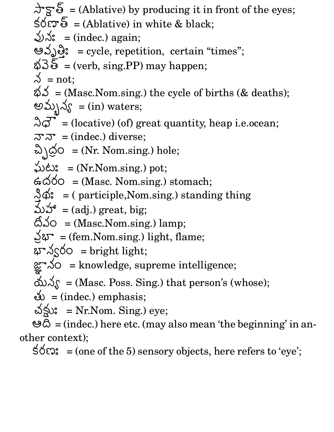$\pi s = (Ablative)$  by producing it in front of the eyes;  $\forall$ රිහ් = (Ablative) in white & black;  $\bigvee x$ : = (indec.) again; မည္နွာခ်ႏွ $\,$  = cycle, r $\,$ : = cycle, repetition, certain "times";  $\Delta\overline{\mathcal{S}}$  = (verb, sing.PP) may happen;  $\lambda = \text{not};$  $\delta \mathcal{S}$  = (Masc. Nom.sing.) the cycle of births (& deaths); అవ్పున్య  $=$  (in) waters;  $\Im \vec{\sigma}$  = (locative) (of) great quantity, heap i.e.ocean;  $\vec{r} = \text{(index.)}$  diverse;  $\omega \, \dot{\omega}$  = (Nr. Nom.sing.) hole;  $\sim$  . The contract of the contract of the contract of the contract of the contract of the contract of the contract of the contract of the contract of the contract of the contract of the contract of the contract of the co  $\omega$ င်း = (Nr.Nom.sing.) pot;  $\land\bullet\bullet = (Masc. \ Nom.sing.) \ stomach;$  $\overline{\phantom{a}}$  $\phi$ : = ( participle, Nom.sing.) standing thing  $\Delta \mathcal{F} = (adj.)$  great, big;  $\hat{\text{Q}}$ So = (Masc.Nom.sing.) lamp; 。  $\text{d} \mathcal{F} = (\text{fem.Nom.sing.})$  light, flame;  $\Delta \propto 0$  = bright light;  $\mathbf{F}^{\prime}$  ) and the set of the set of the set of the set of the set of the set of the set of the set of the set of the set of the set of the set of the set of the set of the set of the set of the set of the set of the  $\text{So }$  = knowledge, supreme intelligence;  $\Delta S =$  (Masc. Poss. Sing.) that person's (whose);  $\delta$  = (indec.) emphasis; చక్షు: = Nr.Nom. Sing.) eye; <sup>l</sup> = (indec.) here etc. (may also mean 'the beginning' in another context);

 $\pm\sigma\$  = (one of the 5) sensory objects, here refers to 'eye';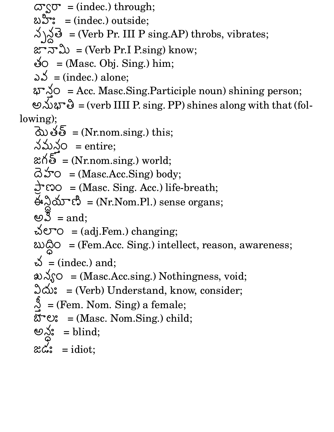$\varpi$  (indec.) through; బ**ి**ూ: = (indec.) outside;  $\bigotimes_{n=1}^{\infty}$  = (Verb Pr. III P sing.AP) throbs, vibrates;  $\alpha$ ానామి = (Verb Pr.I P.sing) know; ల్లం = (Masc. Obj. Sing.) him; YZW  $\delta \delta$  = (indec.) alone; B\* , = Acc. Masc.Sing.Participle noun) shining person; అనుభాతి = (verb IIII P. sing. PP) shines along with that (following);  $\partial\omega$ తల్ = (Nr.nom.sing.) this;  $\lambda \Delta \lambda$ ం = entire;  $\alpha\Lambda$ වි = (Nr.nom.sing.) world;  $\vec{\omega}$   $\Delta$   $\vec{\omega}$  = (Masc.Acc.Sing) body;  $\Rightarrow$  so = (Masc. Sing. Acc.) life-breath;  $\overset{\Delta}{\Theta}$ ္ကိုသံားကို = (Nr.Nom.Pl.) sense organs;  $\mathfrak{G}\,\, \mathbb{S}\,\,$  = and;  $\Delta$  e $\circ$  = (adj. Fem.) changing;  $\omega$  $\Delta$ o = (Fem.Acc. Sing.) intellect, reason, awareness;  $\breve{\omega}$  = (indec.) and;  $\Rightarrow$   $\leq$   $\circ$  = (Masc.Acc.sing.) Nothingness, void;  $\Im \Delta$ : = (Verb) Understand, know, consider;  $\overline{\phantom{a}}$  = (Fem. Nom. Sing) a female;  $\delta \mathbf{C}$ : = (Masc. Nom.Sing.) child; అన్ల:  $=$  blind;  $\alpha \zeta$ : = idiot;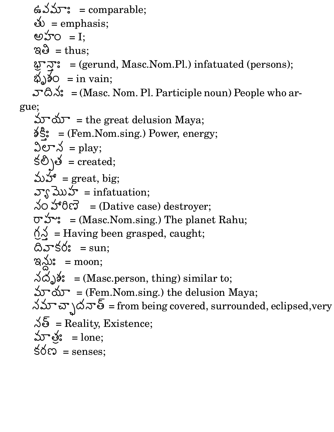$\mathbf{G} \mathbf{S} \mathbf{S} = \mathbf{comparable};$  $\breve{\infty}$  = emphasis; అహం  $=$  I;  $\mathbb{R}\mathbb{S}\;=\text{thus};$ AT: = (gerund, Masc.Nom.Pl.) infatuated (persons);  $\omega$ )ຈ໌໐ = in vain;  $\mathcal{S}^* \mathfrak{S} \mathcal{S}^* = (\text{Masc. Nom. Pl. Particle noun})$  People who argue;  $\Delta r \Delta r =$  the great delusion Maya; ခင $\hat{\mathcal{S}}$ း = (Fem. $N$  $;\quad$  = (Fem.Nom.sing.) Power, energy;  $\Im {\text{er}}\, \measuredangle\,$  = play; కలి $\setminus$ త = created; మహా $=$  great, big;  $\mathcal{F}^R_N$ మొహ = infatuation;  $\Delta$ O హారిణె = (Dative case) destroyer;  $\sigma$   $\mathcal{L}^*$ : = (Masc. Nom.sing.) The planet Rahu;  $\bigcirc \bigcirc$  = Having been grasped, caught; l Z[\* q tL = sun; ఇ*న్లు*: = moon;  $\lambda \omega$ ) $\gamma$ : = (Masc.person, thing) similar to;  $\Delta r \Delta r =$  (Fem. Nom.sing.) the delusion Maya;  $\Delta \Delta \mathbf{r}$   $\Delta \mathbf{r}$  ) $\Delta \Delta \mathbf{r}$   $\bar{\mathbf{\delta}}$  = from being covered, surrounded, eclipsed,very  $\sqrt[4]{5}$  = Reality, Existence; మాత్రి:  $=$  lone;  $\pm\sigma\approx\pm\rm{s}$  = senses;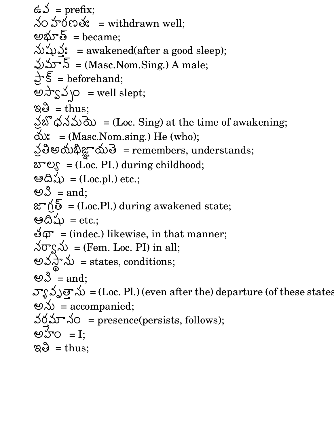$\mathfrak{\precsim}$  = prefix;  $\Delta$ O హరణత: = withdrawn well; అభూత్ =  $\rm{became};$ V# 0,: = awakened(after a good sleep);  $\bigcup\mathcal{S}=\mathcal{S}=(\text{Masc.Nom.Sing.})\ \text{A male};$  $\blacksquare$  In the contract of the contract of the contract of the contract of the contract of the contract of the contract of the contract of the contract of the contract of the contract of the contract of the contract of the  $\overline{\mathsf{S}}$  = beforehand; అస్వేవ్సం = well slept;  $\mathbb{R}\mathbb{S}\;=\text{thus};$ నబొధనమయె = ${({\rm Loc})}$  $\beta$ నమయె = (Loc. Sing) at the time of awakening;  $\Delta$  = (Masc.Nom.sing.) He (who); 。 తిఅయభిజ్ఞాయతె = remei  $\blacksquare$ . The contract of the contract of the contract of the contract of the contract of the contract of the contract of the contract of the contract of the contract of the contract of the contract of the contract of the c  $\Delta \vec{\omega}$  = remembers, understands;  $\delta \mathcal{E} = \sum_{n=1}^{\infty}$  = (Loc. PI.) during childhood; ఆదిషు = (Loc.pl.) etc.; ಅ $\mathcal S$  = and;  $\alpha^*\mathfrak{H}\bar{\mathfrak{b}}$  = (Loc.Pl.) during awakened state; ఆదిషు =  ${\rm etc.};$  $\mathcal{L}(\mathcal{D})$  = (indec.) likewise, in that manner;  $\Delta \sigma_S \Delta \nu$  = (Fem. Loc. PI) in all; - ZM -  $\Delta$  = states, conditions; ಅ $\mathcal S$  = and;  $\mathcal{L}$  zero  $\mathcal{L}$  and  $\mathcal{L}$  and  $\mathcal{L}$  and  $\mathcal{L}$  and  $\mathcal{L}$  and  $\mathcal{L}$  and  $\mathcal{L}$  and  $\mathcal{L}$  and  $\mathcal{L}$  and  $\mathcal{L}$  and  $\mathcal{L}$  and  $\mathcal{L}$  and  $\mathcal{L}$  and  $\mathcal{L}$  and  $\mathcal{L}$  and  $\mathcal{L}$  and  $\mathbf{F}\sim\mathbf{D}=(\mathbf{Loc.~P}l_{1})$  (even after the) departure (of these states అను =  $\rm{accompained};$  $30, 50, 50$  = presence(persists, follows); అహం  $=$  I;  $\mathbb{R}\mathbb{S}\;=\text{thus};$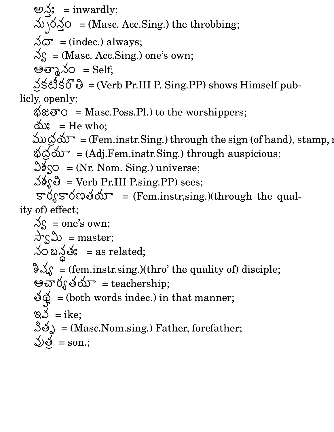అ $\searrow$ : = inwardly;  $\text{sum} = \text{inwardly};$  $\Delta$   $\sqrt{\Delta}$   $\circ$  = (Masc. Acc.Sing.) the throbbing;  $\sqrt{2}$  = (indec.) always;  $\Im s = (Masc. Acc. Sing.)$  one's own; မမာ $\lambda$ သ် $=$  Self; 。<br>0  $\sin\theta \leq \cos\theta$  = (Verb Pr.III P. Sing.PP) shows Himself publicly, openly;  $\&\mathcal{B} \otimes \mathcal{B}$  = Masc.Poss.Pl.) to the worshippers; య్:  $=$  He who; ముద్రయా = (Fem.instr.Sing.) through the sign (of hand), stamp,  $n$  $\emptyset$ O  $\infty$  = (Adj.Fem.instr.Sing.) through auspicious;  $\Im\delta_{\rm SO}=(\rm Nr.\ Nom.\ Sing.)$  universe;  $\Im\$ <sub>9</sub> $\Theta$  = Verb Pr.III P.sing.PP) sees;  $\sigma$ လေးတွေကြောင်း (Fem.instr,sing.)(through the quality of) effect;  $\Im s$  = one's own;  $\Delta$ ς္ $\mathfrak{D}$  = master;  $\lambda$ ဝ బ $\lambda$ తః = as related;  $\partial \mathcal{L}_{\mathcal{S}}$  = (fem.instr.sing.)(thro' the quality of) disciple; ఆచార్యతయా $=$  teachership; .- $\blacksquare$  . The contract of the contract of the contract of the contract of the contract of the contract of the contract of the contract of the contract of the contract of the contract of the contract of the contract of the  $\Phi = 0$  (both words indec.) in that manner; ఇవ $=$  ike;  $\log_{\theta}$  = (Masc. Nom.sing.) Father, forefather;  $\bigtriangledown$ ي = son.;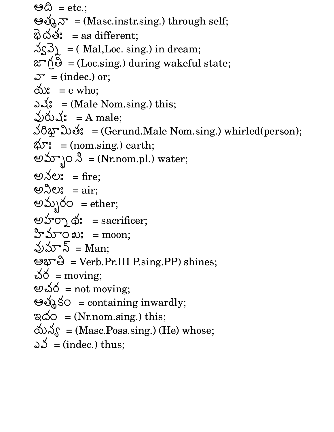ಆ $\varnothing$  =  ${\rm etc.};$ ఆత్మనా = (Masc.instr.sing.) through self;  $\vec{B}$ ර්ෂ්: = as different;  $\sqrt{S_1}$  = ( Mal, Loc. sing.) in dream;  $\alpha$ <sup>+</sup> $\beta$  = (Loc.sing.) during wakeful state; యి:  $= e$  who;  $\mathcal{F} = \text{(index.) or;}$ ఎష $\dot{\mathbf{S}} = (\text{Male Nom.sing.}) \text{ this};$ వురుషః = A male;  $\sqrt{0}$   $\sqrt{0}$   $\sqrt{0}$  $\mathfrak{P}^{\infty}$ ည်မ်း = (Gerund.Male Nom.sing.) whirled(person);  $\Delta \mathcal{F}$ : = (nom.sing.) earth; అమ్బాం  $\upbeta = (Nr.nom.pl.)$  water; అ $\lambda$ ల: = fire; ಅನಿಲ:  $=$  air; అమ్పరం  $=$  ether; అహార్నా థిః = sacrificer; హిమా౦ ఖ $\text{ }^{\circ}\text{ }$  = moon; వుమా $\bar{\mathcal{S}}$  = Man; မဟ"ပါ = Verb.Pr.III P.sing.PP) shines; చర $=$  moving; అచర $\, = \, \mathrm{not} \,\, \mathrm{moving};$ ఆత్మకం = containing inwardly;  $\begin{array}{ll} \mathbb{R}\ \mathbb{Q} & =(\text{Nr.nom.sing.}) \text{ this}; \end{array}$  $\Delta \mathcal{S} = (Masc.Poss.sing.)$  (He) whose; ఎ $\mathcal{S}=(\text{index.}) \text{ thus};$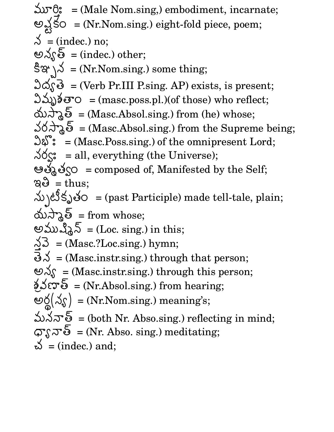మూర్తి:  $=$  (Male I  $\epsilon = (Male Nom.sing, )$  embodiment, incarnate;  $\sqrt{1-x^2}$  $\blacksquare$  . The contract of the contract of the contract of the contract of the contract of the contract of the contract of the contract of the contract of the contract of the contract of the contract of the contract of the  $\text{So } = (\text{Nr.Nom.sing.}) \text{ eight-fold piece, poem};$  $\beta$  = (indec.) no; అన్యత్  $=$  (indec.) other;  $\hat{\mathbb{S}}$   $\mathfrak{A}$  = (Nr. Nom.sing.) some thing;  $\Im \vec{\omega}$ ှုမြ $\vec{\omega}$  = (Verb Pr.III P.sing. AP) exists, is present; విమృశతా $\circ$  = (masc.poss.pl.)(of those) who reflect; యస్మాత్ = (Masc.Absol.sing.) from (he) whose;  $36 \lambda$ & = (Masc.Absol.sing.) from the Supreme being;  $\Im \mathfrak{F}$ : = (Masc.Poss.sing.) of the omnipresent Lord;  $\lambda\delta\mathcal{S}$ : = all, everything (the Universe); ఆత్మత్వం = composed of, Manifested by the Self;  $\mathfrak{g} \mathfrak{S} = \text{thus};$ V#rqY .F = (past Participle) made tell-tale, plain; యస్మాత్  $=$  from whose; అముష్మిన్ =(Loc.  $\operatorname{sing}$ .) in this;  $\cdot$  $\begin{cases} \Delta \mathfrak{Z} \ = \text{(Masc.?Loc.sing.)} \text{ hymn;} \ \tilde{\mathfrak{Z}} \ \mathfrak{\Delta} \ = \text{(Masc.instr.sing.)} \text{ through that person;} \end{cases}$  $\mathfrak{S}_{\mathcal{N}} = (\text{Masc_instr.sing.}) \text{ through this person};$  $\sum_{i=1}^{n} \mathcal{S}_i = \sum_{i=1}^{n} \mathcal{S}_i$  and  $\sum_{i=1}^{n} \mathcal{S}_i$  from hearing;  $\mathcal{L} \times \mathcal{L} \times \mathcal{L}$ -  $(\lambda_{\mathcal{S}})$  = (Nr. Nom.sing.) meaning's; మననాత్ = (both Nr. Abso. $\sin g$ .) reflecting in mind;  $\varpi$ ຸ $\pi$ ઈ = (Nr. Abso. sing.) meditating;  $\breve{\omega}$  = (indec.) and;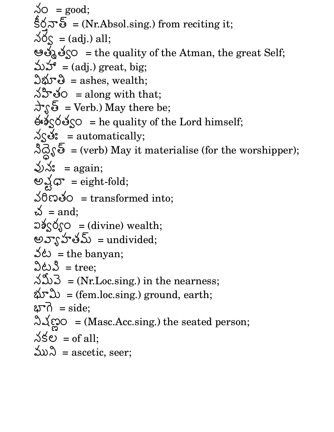$\lambda$ O = good; కీర్తనాత్ = (Nr.Absol.sing.) from reciting it;  $\Delta \phi_{\mathcal{S}}$  = (adj.) all; ఆత్మత్వం = the quality of the Atman, the great Self; మహా =  $(adj.)$  great, big;  $\Im\mathfrak{G}=\text{ashes, wealth};$  $\lambda$ ပ်္သာဗိဝ = along with that;  $\pi$  $\overline{\mathcal{S}}$  = Verb.) May there be; နှစ် $\zeta$ ဝေါ် $\zeta$ ဝ $\zeta$  = he quality of the Lord himself;  $\triangle$ လိမ်း = automatically;  $\Im\overline{\triangle}$   $\Im\overline{\diamond}$  = (verb) May it materialise (for the worshipper);  $\bigvee x$  = again; -  $\bigtimes$  $30$  costo = transformed into;  $\breve{\omega}$  = and; ລຈ $\zeta$ ດ໌ $\zeta$ ဝ = (divine) wealth; అవ్యోహతమ్ = undivided;  $\mathcal{S}(\mathcal{L}) = \mathcal{L}(\mathcal{L}) = \mathcal{L}(\mathcal{L})$ విటవి $=$  tree;  $\Delta \mathcal{D} = (Nr.Loc.sing.)$  in the nearness;  $\text{d} \mathcal{F} \text{d} \mathcal{D} = \text{(fem.loc.sing.)}$  ground, earth;  $\delta \mathfrak{p} = \mathrm{side};$  $\blacksquare$  (  $\blacksquare$  ) and (  $\blacksquare$  ) and (  $\blacksquare$  ) and (  $\blacksquare$  ) and (  $\blacksquare$  ) and (  $\blacksquare$  ) and (  $\blacksquare$  ) and (  $\blacksquare$  ) and (  $\blacksquare$  ) and (  $\blacksquare$  ) and (  $\blacksquare$  ) and (  $\blacksquare$  ) and (  $\blacksquare$  ) and (  $\blacksquare$  ) and (  $\$  $\blacksquare$  . The contract of the contract of the contract of the contract of the contract of the contract of the contract of the contract of the contract of the contract of the contract of the contract of the contract of the  $O = (Masc.Acc.sing.)$  the seated person;  $\lambda$ కల = of all; ముని  $=$  ascetic, seer;